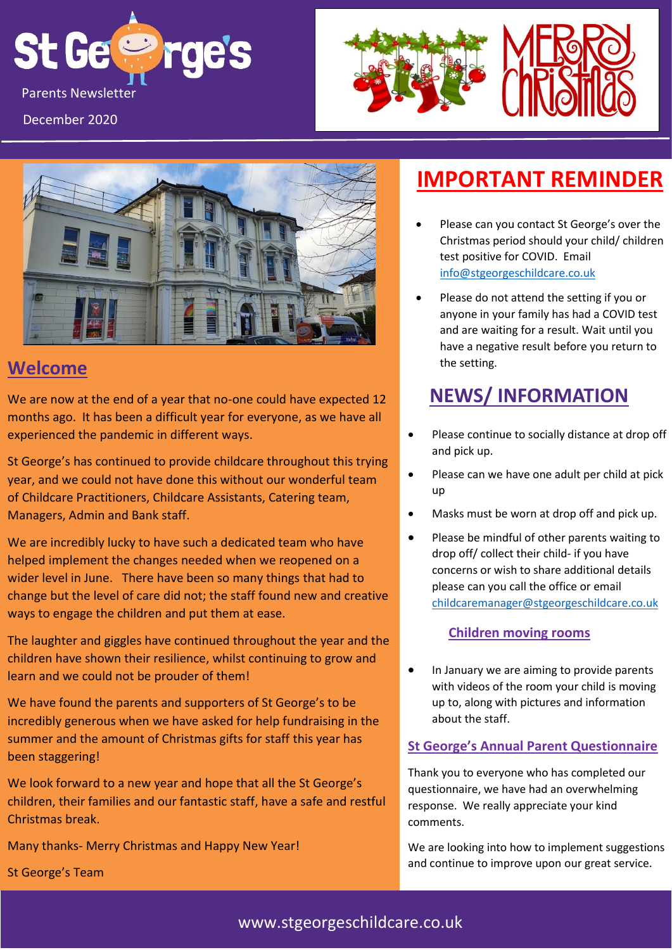





### **Welcome**

We are now at the end of a year that no-one could have expected 12 months ago. It has been a difficult year for everyone, as we have all experienced the pandemic in different ways.

St George's has continued to provide childcare throughout this trying year, and we could not have done this without our wonderful team of Childcare Practitioners, Childcare Assistants, Catering team, Managers, Admin and Bank staff.

We are incredibly lucky to have such a dedicated team who have helped implement the changes needed when we reopened on a wider level in June. There have been so many things that had to change but the level of care did not; the staff found new and creative ways to engage the children and put them at ease.

The laughter and giggles have continued throughout the year and the children have shown their resilience, whilst continuing to grow and learn and we could not be prouder of them!

We have found the parents and supporters of St George's to be incredibly generous when we have asked for help fundraising in the summer and the amount of Christmas gifts for staff this year has been staggering!

We look forward to a new year and hope that all the St George's children, their families and our fantastic staff, have a safe and restful Christmas break.

Many thanks- Merry Christmas and Happy New Year!

St George's Team

# **IMPORTANT REMINDER**

- Please can you contact St George's over the Christmas period should your child/ children test positive for COVID. Email [info@stgeorgeschildcare.co.uk](mailto:info@stgeorgeschildcare.co.uk)
- Please do not attend the setting if you or anyone in your family has had a COVID test and are waiting for a result. Wait until you have a negative result before you return to the setting.

# **NEWS/ INFORMATION**

- Please continue to socially distance at drop off and pick up.
- Please can we have one adult per child at pick up
- Masks must be worn at drop off and pick up.
- Please be mindful of other parents waiting to drop off/ collect their child- if you have concerns or wish to share additional details please can you call the office or email [childcaremanager@stgeorgeschildcare.co.uk](mailto:childcaremanager@stgeorgeschildcare.co.uk)

### **Children moving rooms**

• In January we are aiming to provide parents with videos of the room your child is moving up to, along with pictures and information about the staff.

### **St George's Annual Parent Questionnaire**

Thank you to everyone who has completed our questionnaire, we have had an overwhelming response. We really appreciate your kind comments.

We are looking into how to implement suggestions and continue to improve upon our great service.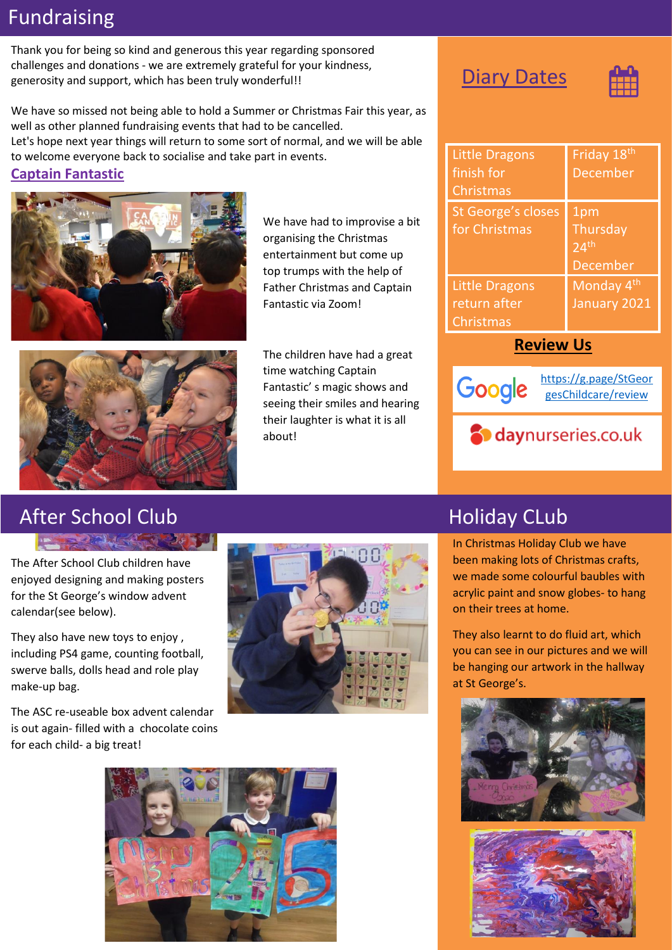# Fundraising

Thank you for being so kind and generous this year regarding sponsored challenges and donations - we are extremely grateful for your kindness, generosity and support, which has been truly wonderful!!

We have so missed not being able to hold a Summer or Christmas Fair this year, as well as other planned fundraising events that had to be cancelled. Let's hope next year things will return to some sort of normal, and we will be able to welcome everyone back to socialise and take part in events. **Captain Fantastic** 



We have had to improvise a bit organising the Christmas entertainment but come up top trumps with the help of Father Christmas and Captain Fantastic via Zoom!



The children have had a great time watching Captain Fantastic' s magic shows and seeing their smiles and hearing their laughter is what it is all about!

### **Diary Dates**



| <b>Little Dragons</b><br>finish for<br><b>Christmas</b>   | Friday 18th<br><b>December</b>                         |
|-----------------------------------------------------------|--------------------------------------------------------|
| St George's closes<br>for Christmas                       | 1pm<br>Thursday<br>24 <sup>th</sup><br><b>December</b> |
| <b>Little Dragons</b><br>return after<br><b>Christmas</b> | Monday 4 <sup>th</sup><br>January 2021                 |

### **Review Us**

**S** daynurseries.co.uk



[https://g.page/StGeor](https://g.page/StGeorgesChildcare/review) [gesChildcare/review](https://g.page/StGeorgesChildcare/review)

# After School Club **After School Club Holiday CLub**

The After School Club children have enjoyed designing and making posters for the St George's window advent calendar(see below).

They also have new toys to enjoy , including PS4 game, counting football, swerve balls, dolls head and role play make-up bag.

The ASC re-useable box advent calendar is out again- filled with a chocolate coins for each child- a big treat!





In Christmas Holiday Club we have been making lots of Christmas crafts, we made some colourful baubles with acrylic paint and snow globes- to hang on their trees at home.

They also learnt to do fluid art, which you can see in our pictures and we will be hanging our artwork in the hallway at St George's.



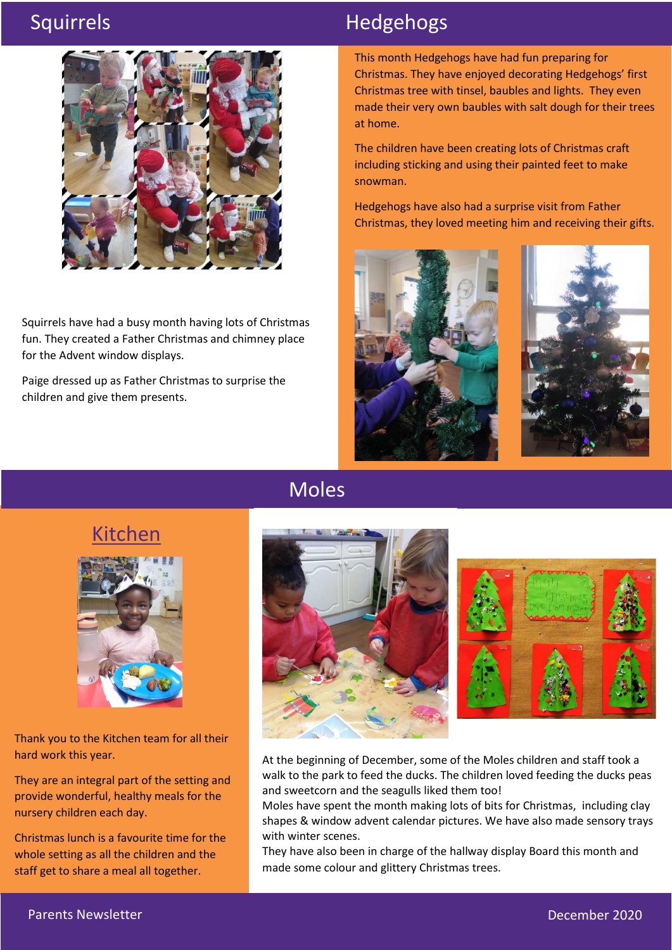

Squirrels have had a busy month having lots of Christmas fun. They created a Father Christmas and chimney place for the Advent window displays.

Paige dressed up as Father Christmas to surprise the children and give them presents.

# Squirrels **Hedgehogs**

This month Hedgehogs have had fun preparing for Christmas. They have enjoyed decorating Hedgehogs' first Christmas tree with tinsel, baubles and lights. They even made their very own baubles with salt dough for their trees at home.

The children have been creating lots of Christmas craft including sticking and using their painted feet to make snowman.

Hedgehogs have also had a surprise visit from Father Christmas, they loved meeting him and receiving their gifts.





## Moles



At the beginning of December, some of the Moles children and staff took a walk to the park to feed the ducks. The children loved feeding the ducks peas and sweetcorn and the seagulls liked them too!

Moles have spent the month making lots of bits for Christmas, including clay shapes & window advent calendar pictures. We have also made sensory trays with winter scenes.

They have also been in charge of the hallway display Board this month and made some colour and glittery Christmas trees.

## Kitchen



Thank you to the Kitchen team for all their hard work this year.

They are an integral part of the setting and provide wonderful, healthy meals for the nursery children each day.

Christmas lunch is a favourite time for the whole setting as all the children and the staff get to share a meal all together.